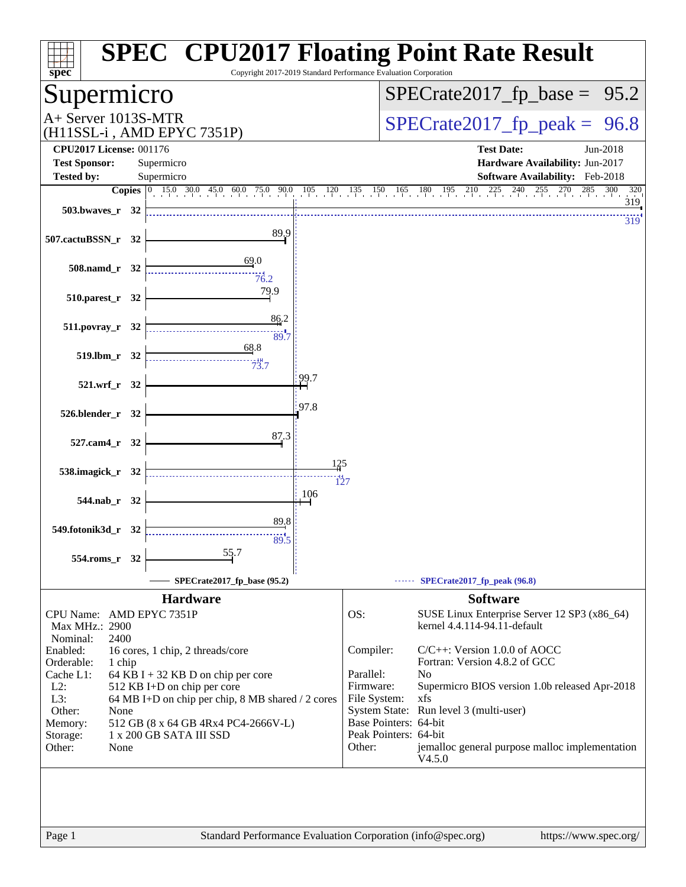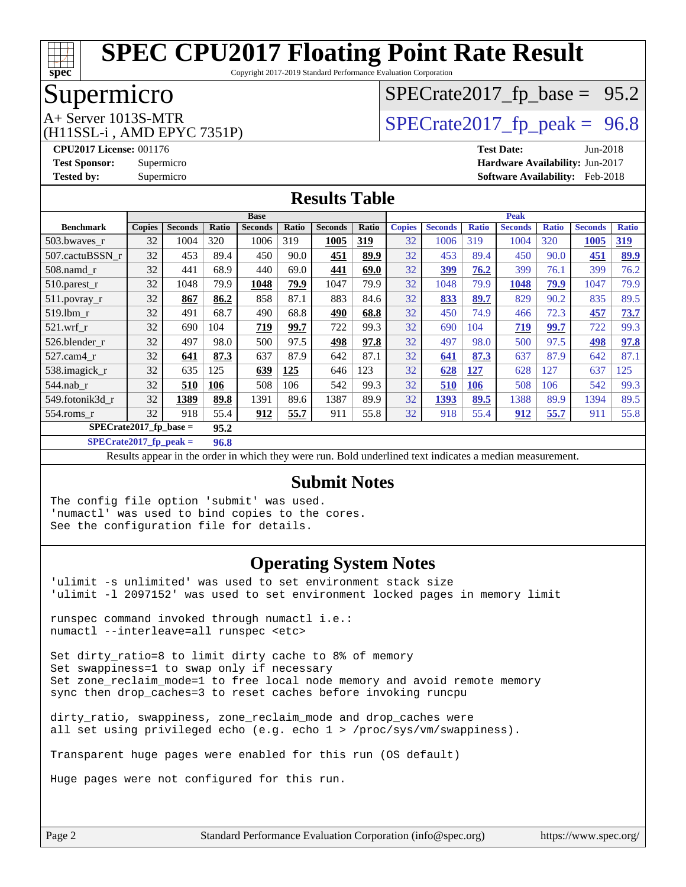

Copyright 2017-2019 Standard Performance Evaluation Corporation

# Supermicro

(H11SSL-i , AMD EPYC 7351P)

# $SPECrate2017_fp\_base = 95.2$

# $A+$  Server 1013S-MTR<br>
(H11SSL-i AMD EPYC 7351P) [SPECrate2017\\_fp\\_peak =](http://www.spec.org/auto/cpu2017/Docs/result-fields.html#SPECrate2017fppeak) 96.8

**[CPU2017 License:](http://www.spec.org/auto/cpu2017/Docs/result-fields.html#CPU2017License)** 001176 **[Test Date:](http://www.spec.org/auto/cpu2017/Docs/result-fields.html#TestDate)** Jun-2018 **[Test Sponsor:](http://www.spec.org/auto/cpu2017/Docs/result-fields.html#TestSponsor)** Supermicro **[Hardware Availability:](http://www.spec.org/auto/cpu2017/Docs/result-fields.html#HardwareAvailability)** Jun-2017 **[Tested by:](http://www.spec.org/auto/cpu2017/Docs/result-fields.html#Testedby)** Supermicro **[Software Availability:](http://www.spec.org/auto/cpu2017/Docs/result-fields.html#SoftwareAvailability)** Feb-2018

### **[Results Table](http://www.spec.org/auto/cpu2017/Docs/result-fields.html#ResultsTable)**

|                                   | <b>Base</b>   |                |       |                |       | <b>Peak</b>    |            |               |                |              |                |              |                |              |
|-----------------------------------|---------------|----------------|-------|----------------|-------|----------------|------------|---------------|----------------|--------------|----------------|--------------|----------------|--------------|
| <b>Benchmark</b>                  | <b>Copies</b> | <b>Seconds</b> | Ratio | <b>Seconds</b> | Ratio | <b>Seconds</b> | Ratio      | <b>Copies</b> | <b>Seconds</b> | <b>Ratio</b> | <b>Seconds</b> | <b>Ratio</b> | <b>Seconds</b> | <b>Ratio</b> |
| 503.bwayes_r                      | 32            | 1004           | 320   | 1006           | 319   | 1005           | <u>319</u> | 32            | 1006           | 319          | 1004           | 320          | 1005           | <u>319</u>   |
| 507.cactuBSSN r                   | 32            | 453            | 89.4  | 450            | 90.0  | 451            | 89.9       | 32            | 453            | 89.4         | 450            | 90.0         | 451            | 89.9         |
| $508$ .namd $r$                   | 32            | 441            | 68.9  | 440            | 69.0  | 441            | 69.0       | 32            | <u>399</u>     | 76.2         | 399            | 76.1         | 399            | 76.2         |
| $510.parest_r$                    | 32            | 1048           | 79.9  | 1048           | 79.9  | 1047           | 79.9       | 32            | 1048           | 79.9         | 1048           | 79.9         | 1047           | 79.9         |
| 511.povray_r                      | 32            | 867            | 86.2  | 858            | 87.1  | 883            | 84.6       | 32            | 833            | 89.7         | 829            | 90.2         | 835            | 89.5         |
| 519.lbm r                         | 32            | 491            | 68.7  | 490            | 68.8  | 490            | 68.8       | 32            | 450            | 74.9         | 466            | 72.3         | 457            | 73.7         |
| $521$ .wrf r                      | 32            | 690            | 104   | 719            | 99.7  | 722            | 99.3       | 32            | 690            | 104          | 719            | 99.7         | 722            | 99.3         |
| 526.blender_r                     | 32            | 497            | 98.0  | 500            | 97.5  | 498            | 97.8       | 32            | 497            | 98.0         | 500            | 97.5         | 498            | 97.8         |
| 527.cam4_r                        | 32            | 641            | 87.3  | 637            | 87.9  | 642            | 87.1       | 32            | 641            | 87.3         | 637            | 87.9         | 642            | 87.1         |
| 538.imagick_r                     | 32            | 635            | 125   | 639            | 125   | 646            | 123        | 32            | 628            | <u>127</u>   | 628            | 127          | 637            | 125          |
| $544$ .nab r                      | 32            | 510            | 106   | 508            | 106   | 542            | 99.3       | 32            | 510            | 106          | 508            | 106          | 542            | 99.3         |
| 549.fotonik3d r                   | 32            | 1389           | 89.8  | 1391           | 89.6  | 1387           | 89.9       | 32            | 1393           | 89.5         | 1388           | 89.9         | 1394           | 89.5         |
| $554$ .roms r                     | 32            | 918            | 55.4  | 912            | 55.7  | 911            | 55.8       | 32            | 918            | 55.4         | 912            | 55.7         | 911            | 55.8         |
| $SPECrate2017_fp\_base =$<br>95.2 |               |                |       |                |       |                |            |               |                |              |                |              |                |              |

**[SPECrate2017\\_fp\\_peak =](http://www.spec.org/auto/cpu2017/Docs/result-fields.html#SPECrate2017fppeak) 96.8**

Results appear in the [order in which they were run.](http://www.spec.org/auto/cpu2017/Docs/result-fields.html#RunOrder) Bold underlined text [indicates a median measurement.](http://www.spec.org/auto/cpu2017/Docs/result-fields.html#Median)

#### **[Submit Notes](http://www.spec.org/auto/cpu2017/Docs/result-fields.html#SubmitNotes)**

The config file option 'submit' was used. 'numactl' was used to bind copies to the cores. See the configuration file for details.

### **[Operating System Notes](http://www.spec.org/auto/cpu2017/Docs/result-fields.html#OperatingSystemNotes)**

'ulimit -s unlimited' was used to set environment stack size 'ulimit -l 2097152' was used to set environment locked pages in memory limit

runspec command invoked through numactl i.e.: numactl --interleave=all runspec <etc>

Set dirty ratio=8 to limit dirty cache to 8% of memory Set swappiness=1 to swap only if necessary Set zone\_reclaim\_mode=1 to free local node memory and avoid remote memory sync then drop\_caches=3 to reset caches before invoking runcpu

dirty\_ratio, swappiness, zone\_reclaim\_mode and drop\_caches were all set using privileged echo (e.g. echo 1 > /proc/sys/vm/swappiness).

Transparent huge pages were enabled for this run (OS default)

Huge pages were not configured for this run.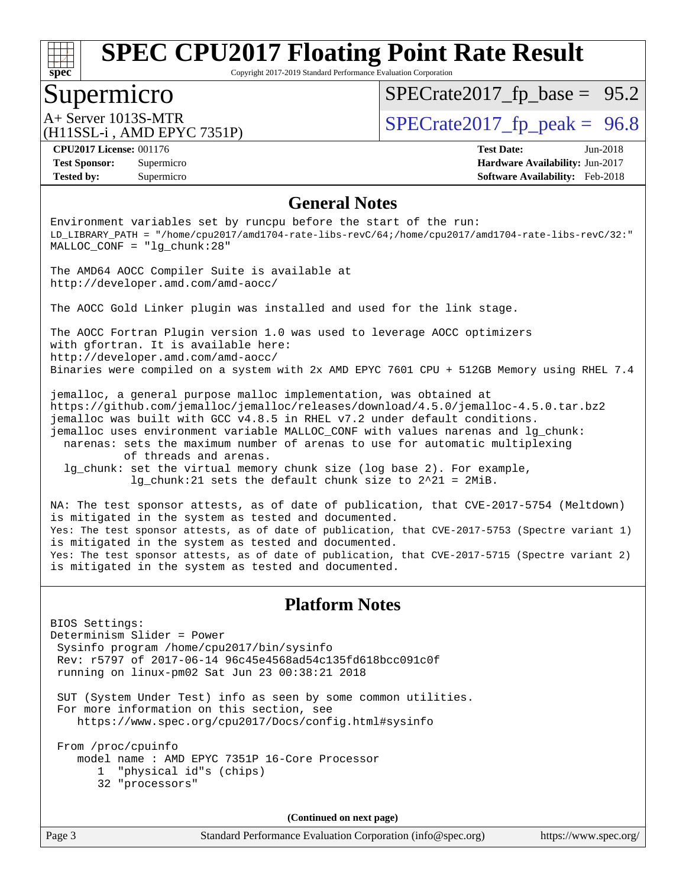

Copyright 2017-2019 Standard Performance Evaluation Corporation

## Supermicro

 $SPECTate2017_fp\_base = 95.2$ 

(H11SSL-i , AMD EPYC 7351P)

 $A+$  Server 1013S-MTR<br>(H11SSL in AMD EPVC 7351P) SPECrate 2017\_fp\_peak = 96.8

**[Tested by:](http://www.spec.org/auto/cpu2017/Docs/result-fields.html#Testedby)** Supermicro **[Software Availability:](http://www.spec.org/auto/cpu2017/Docs/result-fields.html#SoftwareAvailability)** Feb-2018

**[CPU2017 License:](http://www.spec.org/auto/cpu2017/Docs/result-fields.html#CPU2017License)** 001176 **[Test Date:](http://www.spec.org/auto/cpu2017/Docs/result-fields.html#TestDate)** Jun-2018 **[Test Sponsor:](http://www.spec.org/auto/cpu2017/Docs/result-fields.html#TestSponsor)** Supermicro **[Hardware Availability:](http://www.spec.org/auto/cpu2017/Docs/result-fields.html#HardwareAvailability)** Jun-2017

### **[General Notes](http://www.spec.org/auto/cpu2017/Docs/result-fields.html#GeneralNotes)**

Environment variables set by runcpu before the start of the run: LD\_LIBRARY\_PATH = "/home/cpu2017/amd1704-rate-libs-revC/64;/home/cpu2017/amd1704-rate-libs-revC/32:" MALLOC\_CONF = "lg\_chunk:28"

The AMD64 AOCC Compiler Suite is available at <http://developer.amd.com/amd-aocc/>

The AOCC Gold Linker plugin was installed and used for the link stage.

The AOCC Fortran Plugin version 1.0 was used to leverage AOCC optimizers with gfortran. It is available here: <http://developer.amd.com/amd-aocc/> Binaries were compiled on a system with 2x AMD EPYC 7601 CPU + 512GB Memory using RHEL 7.4

jemalloc, a general purpose malloc implementation, was obtained at <https://github.com/jemalloc/jemalloc/releases/download/4.5.0/jemalloc-4.5.0.tar.bz2> jemalloc was built with GCC v4.8.5 in RHEL v7.2 under default conditions. jemalloc uses environment variable MALLOC\_CONF with values narenas and lg\_chunk: narenas: sets the maximum number of arenas to use for automatic multiplexing of threads and arenas. lg\_chunk: set the virtual memory chunk size (log base 2). For example,

lg\_chunk:21 sets the default chunk size to 2^21 = 2MiB.

NA: The test sponsor attests, as of date of publication, that CVE-2017-5754 (Meltdown) is mitigated in the system as tested and documented. Yes: The test sponsor attests, as of date of publication, that CVE-2017-5753 (Spectre variant 1) is mitigated in the system as tested and documented. Yes: The test sponsor attests, as of date of publication, that CVE-2017-5715 (Spectre variant 2) is mitigated in the system as tested and documented.

### **[Platform Notes](http://www.spec.org/auto/cpu2017/Docs/result-fields.html#PlatformNotes)**

BIOS Settings: Determinism Slider = Power Sysinfo program /home/cpu2017/bin/sysinfo Rev: r5797 of 2017-06-14 96c45e4568ad54c135fd618bcc091c0f running on linux-pm02 Sat Jun 23 00:38:21 2018

 SUT (System Under Test) info as seen by some common utilities. For more information on this section, see <https://www.spec.org/cpu2017/Docs/config.html#sysinfo>

 From /proc/cpuinfo model name : AMD EPYC 7351P 16-Core Processor 1 "physical id"s (chips) 32 "processors"

**(Continued on next page)**

Page 3 Standard Performance Evaluation Corporation [\(info@spec.org\)](mailto:info@spec.org) <https://www.spec.org/>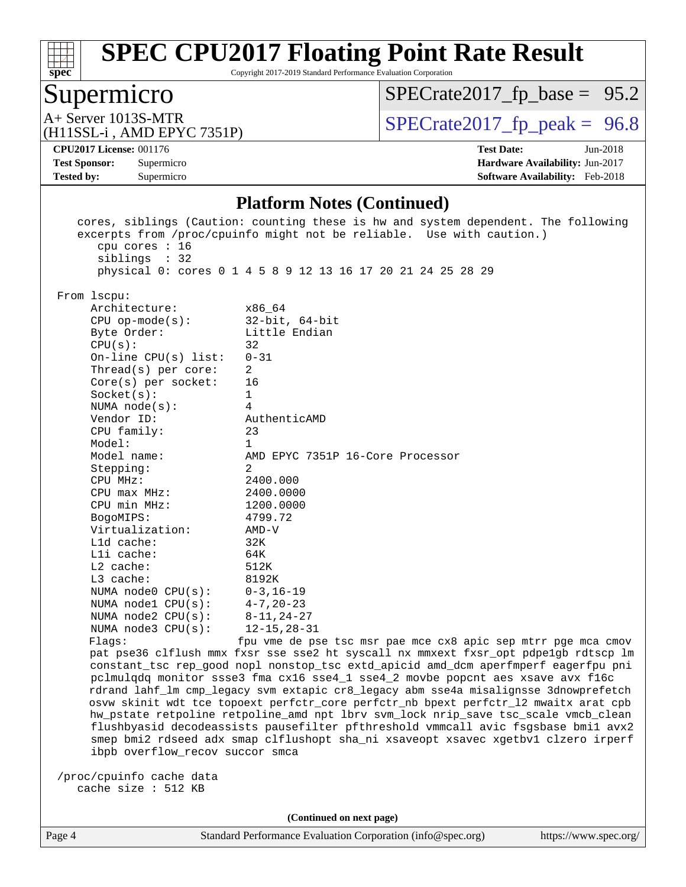

Copyright 2017-2019 Standard Performance Evaluation Corporation

# Supermicro

 $SPECrate2017_fp\_base = 95.2$ 

(H11SSL-i , AMD EPYC 7351P)

 $A+$  Server 1013S-MTR<br>
(H11SSL-i AMD EPYC 7351P) [SPECrate2017\\_fp\\_peak =](http://www.spec.org/auto/cpu2017/Docs/result-fields.html#SPECrate2017fppeak) 96.8

**[Tested by:](http://www.spec.org/auto/cpu2017/Docs/result-fields.html#Testedby)** Supermicro **[Software Availability:](http://www.spec.org/auto/cpu2017/Docs/result-fields.html#SoftwareAvailability)** Feb-2018

**[CPU2017 License:](http://www.spec.org/auto/cpu2017/Docs/result-fields.html#CPU2017License)** 001176 **[Test Date:](http://www.spec.org/auto/cpu2017/Docs/result-fields.html#TestDate)** Jun-2018 **[Test Sponsor:](http://www.spec.org/auto/cpu2017/Docs/result-fields.html#TestSponsor)** Supermicro **[Hardware Availability:](http://www.spec.org/auto/cpu2017/Docs/result-fields.html#HardwareAvailability)** Jun-2017

#### **[Platform Notes \(Continued\)](http://www.spec.org/auto/cpu2017/Docs/result-fields.html#PlatformNotes)**

| cpu cores : 16<br>siblings : 32                                                                                                                                                                                                                                                                                                                                                                                                                                                                                                                                                                                                                                                                                                                                                                                           | cores, siblings (Caution: counting these is hw and system dependent. The following<br>excerpts from /proc/cpuinfo might not be reliable. Use with caution.)<br>physical 0: cores 0 1 4 5 8 9 12 13 16 17 20 21 24 25 28 29                                                                |  |  |  |  |  |
|---------------------------------------------------------------------------------------------------------------------------------------------------------------------------------------------------------------------------------------------------------------------------------------------------------------------------------------------------------------------------------------------------------------------------------------------------------------------------------------------------------------------------------------------------------------------------------------------------------------------------------------------------------------------------------------------------------------------------------------------------------------------------------------------------------------------------|-------------------------------------------------------------------------------------------------------------------------------------------------------------------------------------------------------------------------------------------------------------------------------------------|--|--|--|--|--|
| From 1scpu:<br>Architecture:<br>$CPU$ op-mode( $s$ ):<br>Byte Order:<br>CPU(s):<br>$On$ -line CPU $(s)$ list:<br>Thread(s) per core:<br>$Core(s)$ per socket:<br>Socket(s):<br>NUMA $node(s):$<br>Vendor ID:<br>CPU family:<br>Model:<br>Model name:<br>Stepping:<br>CPU MHz:<br>$CPU$ $max$ $MHz$ :<br>CPU min MHz:<br>BogoMIPS:<br>Virtualization:<br>L1d cache:<br>Lli cache:<br>$L2$ cache:<br>L3 cache:<br>NUMA node0 CPU(s):<br>NUMA nodel $CPU(s):$                                                                                                                                                                                                                                                                                                                                                                | x86 64<br>$32$ -bit, $64$ -bit<br>Little Endian<br>32<br>$0 - 31$<br>2<br>16<br>1<br>4<br>AuthenticAMD<br>23<br>1<br>AMD EPYC 7351P 16-Core Processor<br>2<br>2400.000<br>2400.0000<br>1200.0000<br>4799.72<br>AMD-V<br>32K<br>64K<br>512K<br>8192K<br>$0 - 3$ , 16-19<br>$4 - 7$ , 20-23 |  |  |  |  |  |
| NUMA $node2$ $CPU(s)$ :<br>NUMA $node3$ $CPU(s):$                                                                                                                                                                                                                                                                                                                                                                                                                                                                                                                                                                                                                                                                                                                                                                         | 8-11,24-27<br>$12 - 15, 28 - 31$                                                                                                                                                                                                                                                          |  |  |  |  |  |
| fpu vme de pse tsc msr pae mce cx8 apic sep mtrr pge mca cmov<br>Flags:<br>pat pse36 clflush mmx fxsr sse sse2 ht syscall nx mmxext fxsr_opt pdpelgb rdtscp lm<br>constant_tsc rep_good nopl nonstop_tsc extd_apicid amd_dcm aperfmperf eagerfpu pni<br>pclmulqdq monitor ssse3 fma cx16 sse4_1 sse4_2 movbe popcnt aes xsave avx f16c<br>rdrand lahf_lm cmp_legacy svm extapic cr8_legacy abm sse4a misalignsse 3dnowprefetch<br>osvw skinit wdt tce topoext perfctr_core perfctr_nb bpext perfctr_12 mwaitx arat cpb<br>hw_pstate retpoline retpoline_amd npt lbrv svm_lock nrip_save tsc_scale vmcb_clean<br>flushbyasid decodeassists pausefilter pfthreshold vmmcall avic fsgsbase bmil avx2<br>smep bmi2 rdseed adx smap clflushopt sha_ni xsaveopt xsavec xgetbvl clzero irperf<br>ibpb overflow_recov succor smca |                                                                                                                                                                                                                                                                                           |  |  |  |  |  |
| /proc/cpuinfo cache data<br>cache size : 512 KB                                                                                                                                                                                                                                                                                                                                                                                                                                                                                                                                                                                                                                                                                                                                                                           |                                                                                                                                                                                                                                                                                           |  |  |  |  |  |

**(Continued on next page)**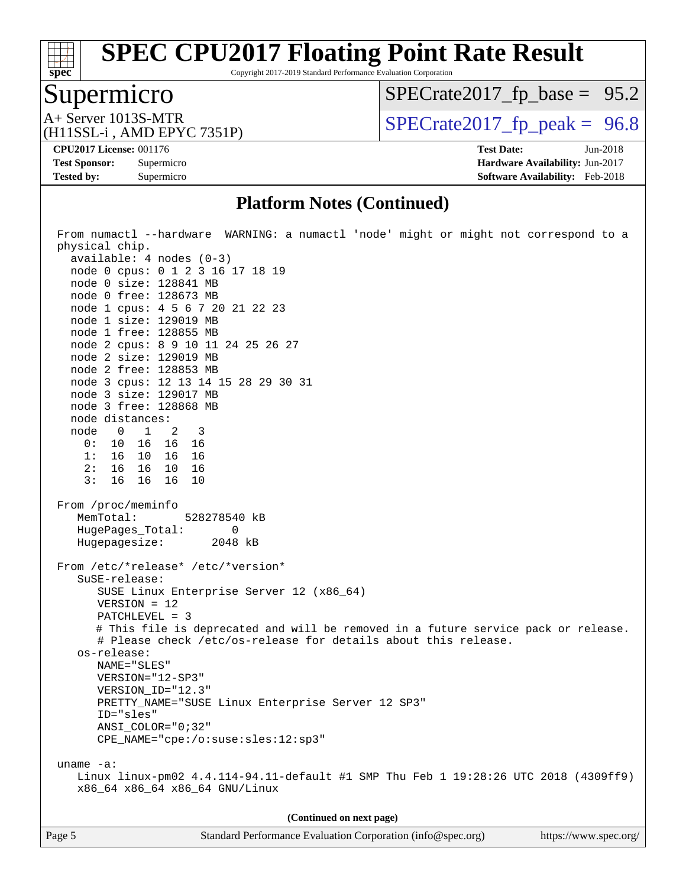#### $\pm\,\mu$ **[spec](http://www.spec.org/)**

# **[SPEC CPU2017 Floating Point Rate Result](http://www.spec.org/auto/cpu2017/Docs/result-fields.html#SPECCPU2017FloatingPointRateResult)**

Copyright 2017-2019 Standard Performance Evaluation Corporation

# Supermicro

 $SPECrate2017_fp\_base = 95.2$ 

(H11SSL-i , AMD EPYC 7351P)

 $A+$  Server 1013S-MTR<br>
(H11SSL-i AMD EPYC 7351P) [SPECrate2017\\_fp\\_peak =](http://www.spec.org/auto/cpu2017/Docs/result-fields.html#SPECrate2017fppeak) 96.8

**[CPU2017 License:](http://www.spec.org/auto/cpu2017/Docs/result-fields.html#CPU2017License)** 001176 **[Test Date:](http://www.spec.org/auto/cpu2017/Docs/result-fields.html#TestDate)** Jun-2018

**[Tested by:](http://www.spec.org/auto/cpu2017/Docs/result-fields.html#Testedby)** Supermicro **[Software Availability:](http://www.spec.org/auto/cpu2017/Docs/result-fields.html#SoftwareAvailability)** Feb-2018

**[Test Sponsor:](http://www.spec.org/auto/cpu2017/Docs/result-fields.html#TestSponsor)** Supermicro **[Hardware Availability:](http://www.spec.org/auto/cpu2017/Docs/result-fields.html#HardwareAvailability)** Jun-2017

#### **[Platform Notes \(Continued\)](http://www.spec.org/auto/cpu2017/Docs/result-fields.html#PlatformNotes)**

| From numactl --hardware WARNING: a numactl 'node' might or might not correspond to a<br>physical chip.<br>$available: 4 nodes (0-3)$<br>node 0 cpus: 0 1 2 3 16 17 18 19<br>node 0 size: 128841 MB<br>node 0 free: 128673 MB<br>node 1 cpus: 4 5 6 7 20 21 22 23<br>node 1 size: 129019 MB<br>node 1 free: 128855 MB<br>node 2 cpus: 8 9 10 11 24 25 26 27<br>node 2 size: 129019 MB<br>node 2 free: 128853 MB<br>node 3 cpus: 12 13 14 15 28 29 30 31<br>node 3 size: 129017 MB<br>node 3 free: 128868 MB                             |  |  |  |  |  |  |  |
|----------------------------------------------------------------------------------------------------------------------------------------------------------------------------------------------------------------------------------------------------------------------------------------------------------------------------------------------------------------------------------------------------------------------------------------------------------------------------------------------------------------------------------------|--|--|--|--|--|--|--|
|                                                                                                                                                                                                                                                                                                                                                                                                                                                                                                                                        |  |  |  |  |  |  |  |
| node distances:                                                                                                                                                                                                                                                                                                                                                                                                                                                                                                                        |  |  |  |  |  |  |  |
| node 0 1 2<br>$\overline{\phantom{a}}$ 3                                                                                                                                                                                                                                                                                                                                                                                                                                                                                               |  |  |  |  |  |  |  |
| 0: 10 16 16 16                                                                                                                                                                                                                                                                                                                                                                                                                                                                                                                         |  |  |  |  |  |  |  |
| 1: 16 10 16 16                                                                                                                                                                                                                                                                                                                                                                                                                                                                                                                         |  |  |  |  |  |  |  |
| 2: 16 16 10 16                                                                                                                                                                                                                                                                                                                                                                                                                                                                                                                         |  |  |  |  |  |  |  |
| 3:<br>16  16  16  10                                                                                                                                                                                                                                                                                                                                                                                                                                                                                                                   |  |  |  |  |  |  |  |
| From /proc/meminfo<br>MemTotal: 528278540 kB<br>HugePages_Total:<br>$\overline{0}$<br>Hugepagesize: 2048 kB<br>From /etc/*release* /etc/*version*<br>SuSE-release:<br>SUSE Linux Enterprise Server 12 (x86_64)<br>$VERSION = 12$<br>PATCHLEVEL = 3<br># This file is deprecated and will be removed in a future service pack or release.<br># Please check /etc/os-release for details about this release.<br>os-release:<br>NAME="SLES"<br>VERSION="12-SP3"<br>VERSION_ID="12.3"<br>PRETTY_NAME="SUSE Linux Enterprise Server 12 SP3" |  |  |  |  |  |  |  |
| ID="sles"                                                                                                                                                                                                                                                                                                                                                                                                                                                                                                                              |  |  |  |  |  |  |  |
| ANSI_COLOR="0;32"                                                                                                                                                                                                                                                                                                                                                                                                                                                                                                                      |  |  |  |  |  |  |  |
| CPE_NAME="cpe:/o:suse:sles:12:sp3"                                                                                                                                                                                                                                                                                                                                                                                                                                                                                                     |  |  |  |  |  |  |  |
|                                                                                                                                                                                                                                                                                                                                                                                                                                                                                                                                        |  |  |  |  |  |  |  |
| uname $-a$ :<br>Linux linux-pm02 4.4.114-94.11-default #1 SMP Thu Feb 1 19:28:26 UTC 2018 (4309ff9)<br>x86_64 x86_64 x86_64 GNU/Linux                                                                                                                                                                                                                                                                                                                                                                                                  |  |  |  |  |  |  |  |
| (Continued on next page)                                                                                                                                                                                                                                                                                                                                                                                                                                                                                                               |  |  |  |  |  |  |  |
|                                                                                                                                                                                                                                                                                                                                                                                                                                                                                                                                        |  |  |  |  |  |  |  |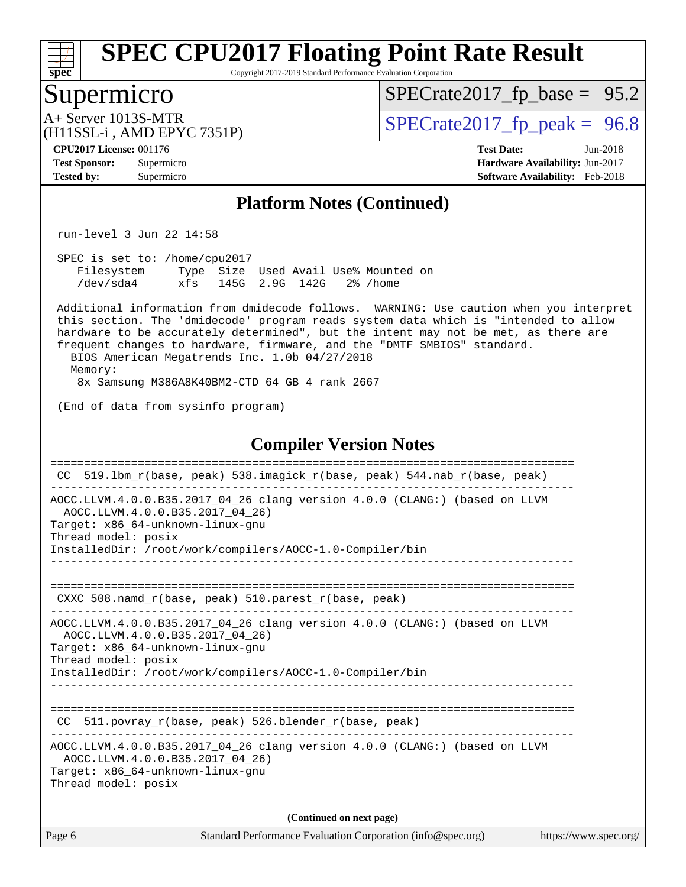

Copyright 2017-2019 Standard Performance Evaluation Corporation

### Supermicro

 $SPECrate2017_fp\_base = 95.2$ 

(H11SSL-i , AMD EPYC 7351P)

 $A+$  Server 1013S-MTR<br>  $\langle B+$  [SPECrate2017\\_fp\\_peak =](http://www.spec.org/auto/cpu2017/Docs/result-fields.html#SPECrate2017fppeak) 96.8

**[Tested by:](http://www.spec.org/auto/cpu2017/Docs/result-fields.html#Testedby)** Supermicro **[Software Availability:](http://www.spec.org/auto/cpu2017/Docs/result-fields.html#SoftwareAvailability)** Feb-2018

**[CPU2017 License:](http://www.spec.org/auto/cpu2017/Docs/result-fields.html#CPU2017License)** 001176 **[Test Date:](http://www.spec.org/auto/cpu2017/Docs/result-fields.html#TestDate)** Jun-2018 **[Test Sponsor:](http://www.spec.org/auto/cpu2017/Docs/result-fields.html#TestSponsor)** Supermicro **[Hardware Availability:](http://www.spec.org/auto/cpu2017/Docs/result-fields.html#HardwareAvailability)** Jun-2017

#### **[Platform Notes \(Continued\)](http://www.spec.org/auto/cpu2017/Docs/result-fields.html#PlatformNotes)**

run-level 3 Jun 22 14:58

 SPEC is set to: /home/cpu2017 Filesystem Type Size Used Avail Use% Mounted on /dev/sda4 xfs 145G 2.9G 142G 2% /home

 Additional information from dmidecode follows. WARNING: Use caution when you interpret this section. The 'dmidecode' program reads system data which is "intended to allow hardware to be accurately determined", but the intent may not be met, as there are frequent changes to hardware, firmware, and the "DMTF SMBIOS" standard. BIOS American Megatrends Inc. 1.0b 04/27/2018

 Memory: 8x Samsung M386A8K40BM2-CTD 64 GB 4 rank 2667

(End of data from sysinfo program)

#### **[Compiler Version Notes](http://www.spec.org/auto/cpu2017/Docs/result-fields.html#CompilerVersionNotes)**

| CC.    | 519.1bm_r(base, peak) 538.imagick_r(base, peak) 544.nab_r(base, peak)                                                                                                                                                                |
|--------|--------------------------------------------------------------------------------------------------------------------------------------------------------------------------------------------------------------------------------------|
|        | AOCC.LLVM.4.0.0.B35.2017_04_26 clang version 4.0.0 (CLANG:) (based on LLVM<br>AOCC.LLVM.4.0.0.B35.2017 04 26)<br>Target: x86 64-unknown-linux-gnu<br>Thread model: posix<br>InstalledDir: /root/work/compilers/AOCC-1.0-Compiler/bin |
|        | CXXC $508.namd_r(base, peak)$ $510.parest_r(base, peak)$                                                                                                                                                                             |
|        | AOCC.LLVM.4.0.0.B35.2017_04_26 clang version 4.0.0 (CLANG:) (based on LLVM<br>AOCC.LLVM.4.0.0.B35.2017 04 26)<br>Target: x86_64-unknown-linux-gnu<br>Thread model: posix<br>InstalledDir: /root/work/compilers/AOCC-1.0-Compiler/bin |
| CC.    | 511.povray_r(base, peak) 526.blender_r(base, peak)                                                                                                                                                                                   |
|        | AOCC.LLVM.4.0.0.B35.2017_04_26 clang version 4.0.0 (CLANG:) (based on LLVM<br>AOCC.LLVM.4.0.0.B35.2017 04 26)<br>Target: x86_64-unknown-linux-gnu<br>Thread model: posix                                                             |
|        | (Continued on next page)                                                                                                                                                                                                             |
| Page 6 | Standard Performance Evaluation Corporation (info@spec.org)<br>https://www.spec.org/                                                                                                                                                 |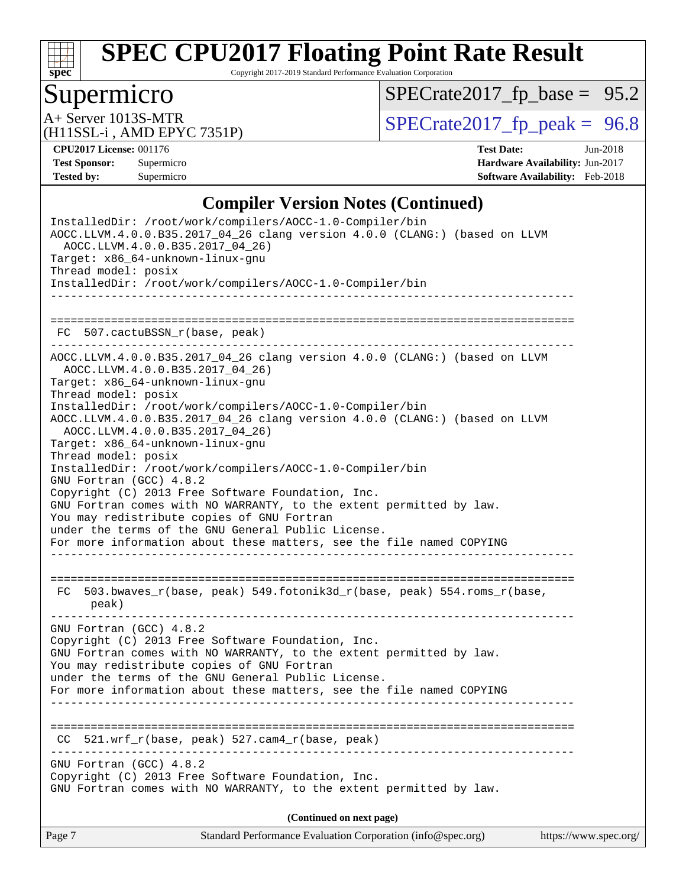

Copyright 2017-2019 Standard Performance Evaluation Corporation

# Supermicro

 $SPECrate2017_fp\_base = 95.2$ 

(H11SSL-i , AMD EPYC 7351P)

 $A+$  Server 1013S-MTR<br>
(H11SSL-i AMD EPYC 7351P) [SPECrate2017\\_fp\\_peak =](http://www.spec.org/auto/cpu2017/Docs/result-fields.html#SPECrate2017fppeak) 96.8

**[CPU2017 License:](http://www.spec.org/auto/cpu2017/Docs/result-fields.html#CPU2017License)** 001176 **[Test Date:](http://www.spec.org/auto/cpu2017/Docs/result-fields.html#TestDate)** Jun-2018

**[Test Sponsor:](http://www.spec.org/auto/cpu2017/Docs/result-fields.html#TestSponsor)** Supermicro **[Hardware Availability:](http://www.spec.org/auto/cpu2017/Docs/result-fields.html#HardwareAvailability)** Jun-2017 **[Tested by:](http://www.spec.org/auto/cpu2017/Docs/result-fields.html#Testedby)** Supermicro **[Software Availability:](http://www.spec.org/auto/cpu2017/Docs/result-fields.html#SoftwareAvailability)** Feb-2018

#### **[Compiler Version Notes \(Continued\)](http://www.spec.org/auto/cpu2017/Docs/result-fields.html#CompilerVersionNotes)**

| Standard Performance Evaluation Corporation (info@spec.org)<br>Page 7                                                                                                  | https://www.spec.org/ |
|------------------------------------------------------------------------------------------------------------------------------------------------------------------------|-----------------------|
| (Continued on next page)                                                                                                                                               |                       |
| GNU Fortran (GCC) 4.8.2<br>Copyright (C) 2013 Free Software Foundation, Inc.<br>GNU Fortran comes with NO WARRANTY, to the extent permitted by law.                    |                       |
| 521.wrf $r(base, peak)$ 527.cam4 $r(base, peak)$<br>CC.                                                                                                                |                       |
| For more information about these matters, see the file named COPYING                                                                                                   |                       |
| under the terms of the GNU General Public License.                                                                                                                     |                       |
| Copyright (C) 2013 Free Software Foundation, Inc.<br>GNU Fortran comes with NO WARRANTY, to the extent permitted by law.<br>You may redistribute copies of GNU Fortran |                       |
| GNU Fortran (GCC) 4.8.2                                                                                                                                                |                       |
| FC 503.bwaves_r(base, peak) 549.fotonik3d_r(base, peak) 554.roms_r(base,<br>peak)                                                                                      |                       |
| under the terms of the GNU General Public License.<br>For more information about these matters, see the file named COPYING                                             |                       |
| GNU Fortran comes with NO WARRANTY, to the extent permitted by law.<br>You may redistribute copies of GNU Fortran                                                      |                       |
| Copyright (C) 2013 Free Software Foundation, Inc.                                                                                                                      |                       |
| InstalledDir: /root/work/compilers/AOCC-1.0-Compiler/bin<br>GNU Fortran (GCC) 4.8.2                                                                                    |                       |
| Thread model: posix                                                                                                                                                    |                       |
| Target: x86_64-unknown-linux-gnu                                                                                                                                       |                       |
| AOCC.LLVM.4.0.0.B35.2017_04_26 clang version 4.0.0 (CLANG:) (based on LLVM<br>AOCC.LLVM.4.0.0.B35.2017 04 26)                                                          |                       |
| Thread model: posix<br>InstalledDir: /root/work/compilers/AOCC-1.0-Compiler/bin                                                                                        |                       |
| Target: x86_64-unknown-linux-gnu                                                                                                                                       |                       |
| AOCC.LLVM.4.0.0.B35.2017_04_26 clang version 4.0.0 (CLANG:) (based on LLVM<br>AOCC.LLVM.4.0.0.B35.2017 04 26)                                                          |                       |
| FC 507.cactuBSSN_r(base, peak)<br>-------------------------------                                                                                                      |                       |
|                                                                                                                                                                        |                       |
| InstalledDir: /root/work/compilers/AOCC-1.0-Compiler/bin                                                                                                               |                       |
| Thread model: posix                                                                                                                                                    |                       |
| AOCC.LLVM.4.0.0.B35.2017 04 26)<br>Target: x86_64-unknown-linux-gnu                                                                                                    |                       |
| InstalledDir: /root/work/compilers/AOCC-1.0-Compiler/bin<br>AOCC.LLVM.4.0.0.B35.2017_04_26 clang version 4.0.0 (CLANG:) (based on LLVM                                 |                       |
|                                                                                                                                                                        |                       |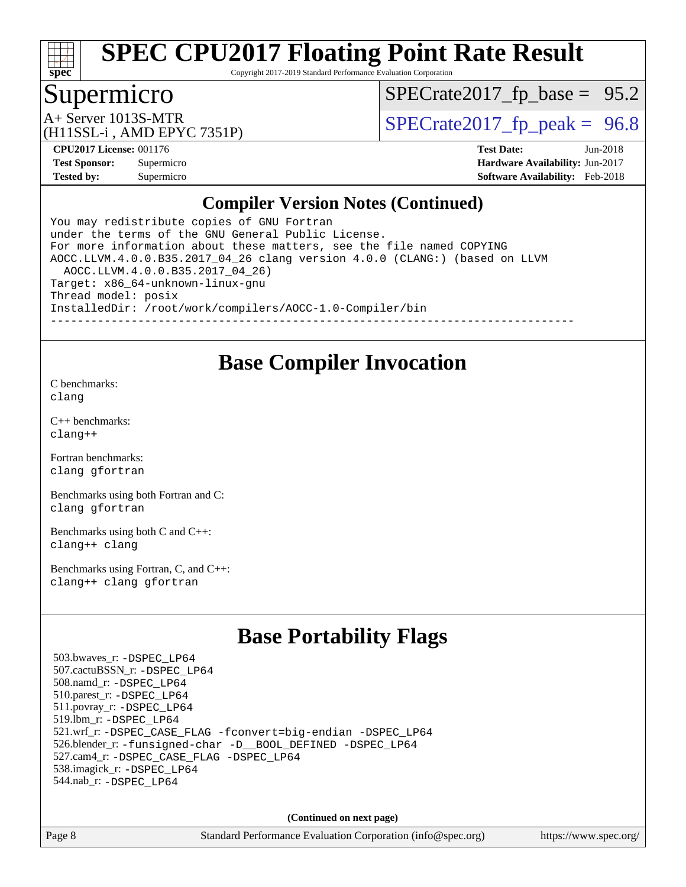

Copyright 2017-2019 Standard Performance Evaluation Corporation

### Supermicro

 $SPECTate2017_fp\_base = 95.2$ 

(H11SSL-i , AMD EPYC 7351P)

 $A+$  Server 1013S-MTR<br>(H11SSL in AMD EPVC 7351P) SPECrate 2017\_fp\_peak = 96.8

**[CPU2017 License:](http://www.spec.org/auto/cpu2017/Docs/result-fields.html#CPU2017License)** 001176 **[Test Date:](http://www.spec.org/auto/cpu2017/Docs/result-fields.html#TestDate)** Jun-2018 **[Test Sponsor:](http://www.spec.org/auto/cpu2017/Docs/result-fields.html#TestSponsor)** Supermicro **[Hardware Availability:](http://www.spec.org/auto/cpu2017/Docs/result-fields.html#HardwareAvailability)** Jun-2017 **[Tested by:](http://www.spec.org/auto/cpu2017/Docs/result-fields.html#Testedby)** Supermicro **[Software Availability:](http://www.spec.org/auto/cpu2017/Docs/result-fields.html#SoftwareAvailability)** Feb-2018

#### **[Compiler Version Notes \(Continued\)](http://www.spec.org/auto/cpu2017/Docs/result-fields.html#CompilerVersionNotes)**

You may redistribute copies of GNU Fortran under the terms of the GNU General Public License. For more information about these matters, see the file named COPYING AOCC.LLVM.4.0.0.B35.2017\_04\_26 clang version 4.0.0 (CLANG:) (based on LLVM AOCC.LLVM.4.0.0.B35.2017\_04\_26) Target: x86\_64-unknown-linux-gnu Thread model: posix InstalledDir: /root/work/compilers/AOCC-1.0-Compiler/bin ------------------------------------------------------------------------------

### **[Base Compiler Invocation](http://www.spec.org/auto/cpu2017/Docs/result-fields.html#BaseCompilerInvocation)**

[C benchmarks](http://www.spec.org/auto/cpu2017/Docs/result-fields.html#Cbenchmarks): [clang](http://www.spec.org/cpu2017/results/res2018q3/cpu2017-20180626-07375.flags.html#user_CCbase_Fclang3)

[C++ benchmarks:](http://www.spec.org/auto/cpu2017/Docs/result-fields.html#CXXbenchmarks) [clang++](http://www.spec.org/cpu2017/results/res2018q3/cpu2017-20180626-07375.flags.html#user_CXXbase_Fclang3_57a48582e5be507d19b2527b3e7d4f85d9b8669ffc9a8a0dbb9bcf949a918a58bbab411e0c4d14a3922022a3e425a90db94042683824c1806feff4324ca1000d)

[Fortran benchmarks](http://www.spec.org/auto/cpu2017/Docs/result-fields.html#Fortranbenchmarks): [clang](http://www.spec.org/cpu2017/results/res2018q3/cpu2017-20180626-07375.flags.html#user_FCbase_Fclang3) [gfortran](http://www.spec.org/cpu2017/results/res2018q3/cpu2017-20180626-07375.flags.html#user_FCbase_gfortran)

[Benchmarks using both Fortran and C](http://www.spec.org/auto/cpu2017/Docs/result-fields.html#BenchmarksusingbothFortranandC): [clang](http://www.spec.org/cpu2017/results/res2018q3/cpu2017-20180626-07375.flags.html#user_CC_FCbase_Fclang3) [gfortran](http://www.spec.org/cpu2017/results/res2018q3/cpu2017-20180626-07375.flags.html#user_CC_FCbase_gfortran)

[Benchmarks using both C and C++](http://www.spec.org/auto/cpu2017/Docs/result-fields.html#BenchmarksusingbothCandCXX): [clang++](http://www.spec.org/cpu2017/results/res2018q3/cpu2017-20180626-07375.flags.html#user_CC_CXXbase_Fclang3_57a48582e5be507d19b2527b3e7d4f85d9b8669ffc9a8a0dbb9bcf949a918a58bbab411e0c4d14a3922022a3e425a90db94042683824c1806feff4324ca1000d) [clang](http://www.spec.org/cpu2017/results/res2018q3/cpu2017-20180626-07375.flags.html#user_CC_CXXbase_Fclang3)

[Benchmarks using Fortran, C, and C++:](http://www.spec.org/auto/cpu2017/Docs/result-fields.html#BenchmarksusingFortranCandCXX) [clang++](http://www.spec.org/cpu2017/results/res2018q3/cpu2017-20180626-07375.flags.html#user_CC_CXX_FCbase_Fclang3_57a48582e5be507d19b2527b3e7d4f85d9b8669ffc9a8a0dbb9bcf949a918a58bbab411e0c4d14a3922022a3e425a90db94042683824c1806feff4324ca1000d) [clang](http://www.spec.org/cpu2017/results/res2018q3/cpu2017-20180626-07375.flags.html#user_CC_CXX_FCbase_Fclang3) [gfortran](http://www.spec.org/cpu2017/results/res2018q3/cpu2017-20180626-07375.flags.html#user_CC_CXX_FCbase_gfortran)

# **[Base Portability Flags](http://www.spec.org/auto/cpu2017/Docs/result-fields.html#BasePortabilityFlags)**

 503.bwaves\_r: [-DSPEC\\_LP64](http://www.spec.org/cpu2017/results/res2018q3/cpu2017-20180626-07375.flags.html#suite_baseEXTRA_PORTABILITY503_bwaves_r_DSPEC_LP64) 507.cactuBSSN\_r: [-DSPEC\\_LP64](http://www.spec.org/cpu2017/results/res2018q3/cpu2017-20180626-07375.flags.html#suite_baseEXTRA_PORTABILITY507_cactuBSSN_r_DSPEC_LP64) 508.namd\_r: [-DSPEC\\_LP64](http://www.spec.org/cpu2017/results/res2018q3/cpu2017-20180626-07375.flags.html#suite_baseEXTRA_PORTABILITY508_namd_r_DSPEC_LP64) 510.parest\_r: [-DSPEC\\_LP64](http://www.spec.org/cpu2017/results/res2018q3/cpu2017-20180626-07375.flags.html#suite_baseEXTRA_PORTABILITY510_parest_r_DSPEC_LP64) 511.povray\_r: [-DSPEC\\_LP64](http://www.spec.org/cpu2017/results/res2018q3/cpu2017-20180626-07375.flags.html#suite_baseEXTRA_PORTABILITY511_povray_r_DSPEC_LP64) 519.lbm\_r: [-DSPEC\\_LP64](http://www.spec.org/cpu2017/results/res2018q3/cpu2017-20180626-07375.flags.html#suite_baseEXTRA_PORTABILITY519_lbm_r_DSPEC_LP64) 521.wrf\_r: [-DSPEC\\_CASE\\_FLAG](http://www.spec.org/cpu2017/results/res2018q3/cpu2017-20180626-07375.flags.html#b521.wrf_r_baseCPORTABILITY_DSPEC_CASE_FLAG) [-fconvert=big-endian](http://www.spec.org/cpu2017/results/res2018q3/cpu2017-20180626-07375.flags.html#user_baseFPORTABILITY521_wrf_r_F-fconvert:big-endian) [-DSPEC\\_LP64](http://www.spec.org/cpu2017/results/res2018q3/cpu2017-20180626-07375.flags.html#suite_baseEXTRA_PORTABILITY521_wrf_r_DSPEC_LP64) 526.blender\_r: [-funsigned-char](http://www.spec.org/cpu2017/results/res2018q3/cpu2017-20180626-07375.flags.html#user_baseCPORTABILITY526_blender_r_F-funsigned-char) [-D\\_\\_BOOL\\_DEFINED](http://www.spec.org/cpu2017/results/res2018q3/cpu2017-20180626-07375.flags.html#b526.blender_r_baseCXXPORTABILITY_D__BOOL_DEFINED) [-DSPEC\\_LP64](http://www.spec.org/cpu2017/results/res2018q3/cpu2017-20180626-07375.flags.html#suite_baseEXTRA_PORTABILITY526_blender_r_DSPEC_LP64) 527.cam4\_r: [-DSPEC\\_CASE\\_FLAG](http://www.spec.org/cpu2017/results/res2018q3/cpu2017-20180626-07375.flags.html#b527.cam4_r_basePORTABILITY_DSPEC_CASE_FLAG) [-DSPEC\\_LP64](http://www.spec.org/cpu2017/results/res2018q3/cpu2017-20180626-07375.flags.html#suite_baseEXTRA_PORTABILITY527_cam4_r_DSPEC_LP64) 538.imagick\_r: [-DSPEC\\_LP64](http://www.spec.org/cpu2017/results/res2018q3/cpu2017-20180626-07375.flags.html#suite_baseEXTRA_PORTABILITY538_imagick_r_DSPEC_LP64) 544.nab\_r: [-DSPEC\\_LP64](http://www.spec.org/cpu2017/results/res2018q3/cpu2017-20180626-07375.flags.html#suite_baseEXTRA_PORTABILITY544_nab_r_DSPEC_LP64)

**(Continued on next page)**

Page 8 Standard Performance Evaluation Corporation [\(info@spec.org\)](mailto:info@spec.org) <https://www.spec.org/>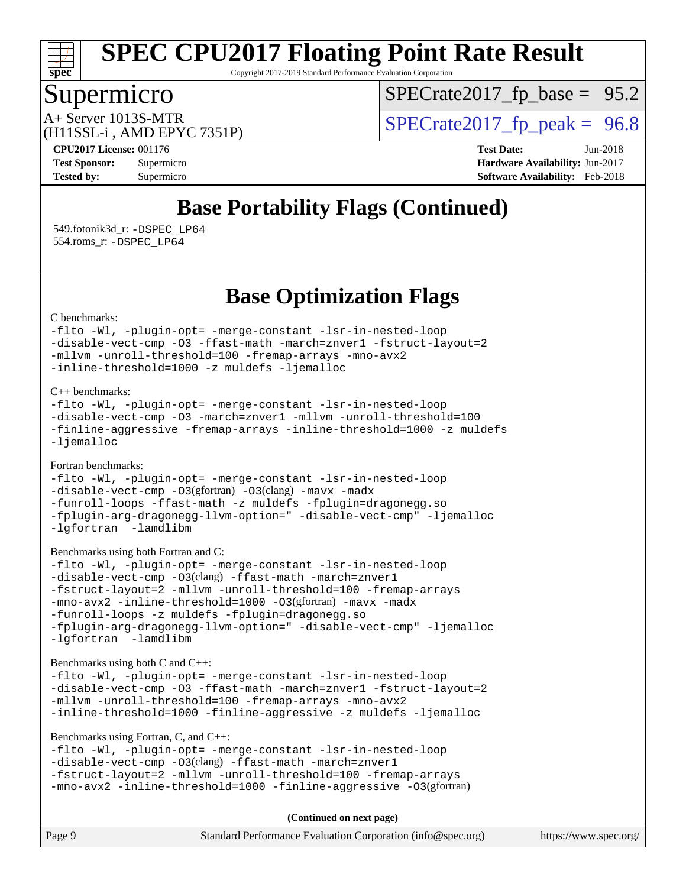

Copyright 2017-2019 Standard Performance Evaluation Corporation

## Supermicro

 $SPECTate2017_fp\_base = 95.2$ 

(H11SSL-i , AMD EPYC 7351P)

 $A+$  Server 1013S-MTR<br>
(H11SSL-i AMD EPYC 7351P) [SPECrate2017\\_fp\\_peak =](http://www.spec.org/auto/cpu2017/Docs/result-fields.html#SPECrate2017fppeak) 96.8

**[CPU2017 License:](http://www.spec.org/auto/cpu2017/Docs/result-fields.html#CPU2017License)** 001176 **[Test Date:](http://www.spec.org/auto/cpu2017/Docs/result-fields.html#TestDate)** Jun-2018 **[Test Sponsor:](http://www.spec.org/auto/cpu2017/Docs/result-fields.html#TestSponsor)** Supermicro **[Hardware Availability:](http://www.spec.org/auto/cpu2017/Docs/result-fields.html#HardwareAvailability)** Jun-2017 **[Tested by:](http://www.spec.org/auto/cpu2017/Docs/result-fields.html#Testedby)** Supermicro **[Software Availability:](http://www.spec.org/auto/cpu2017/Docs/result-fields.html#SoftwareAvailability)** Feb-2018

# **[Base Portability Flags \(Continued\)](http://www.spec.org/auto/cpu2017/Docs/result-fields.html#BasePortabilityFlags)**

 549.fotonik3d\_r: [-DSPEC\\_LP64](http://www.spec.org/cpu2017/results/res2018q3/cpu2017-20180626-07375.flags.html#suite_baseEXTRA_PORTABILITY549_fotonik3d_r_DSPEC_LP64) 554.roms\_r: [-DSPEC\\_LP64](http://www.spec.org/cpu2017/results/res2018q3/cpu2017-20180626-07375.flags.html#suite_baseEXTRA_PORTABILITY554_roms_r_DSPEC_LP64)

**[Base Optimization Flags](http://www.spec.org/auto/cpu2017/Docs/result-fields.html#BaseOptimizationFlags)**

[C benchmarks](http://www.spec.org/auto/cpu2017/Docs/result-fields.html#Cbenchmarks):

```
-flto -Wl, -plugin-opt= -merge-constant -lsr-in-nested-loop
-disable-vect-cmp -O3 -ffast-math -march=znver1 -fstruct-layout=2
-mllvm -unroll-threshold=100 -fremap-arrays -mno-avx2
-inline-threshold=1000 -z muldefs -ljemalloc
```
[C++ benchmarks:](http://www.spec.org/auto/cpu2017/Docs/result-fields.html#CXXbenchmarks)

```
-flto -Wl, -plugin-opt= -merge-constant -lsr-in-nested-loop
-disable-vect-cmp -O3 -march=znver1 -mllvm -unroll-threshold=100
-finline-aggressive -fremap-arrays -inline-threshold=1000 -z muldefs
-ljemalloc
```
[Fortran benchmarks](http://www.spec.org/auto/cpu2017/Docs/result-fields.html#Fortranbenchmarks):

```
-flto -Wl, -plugin-opt= -merge-constant -lsr-in-nested-loop
-disable-vect-cmp -O3(gfortran) -O3(clang) -mavx -madx
-funroll-loops -ffast-math -z muldefs -fplugin=dragonegg.so
-fplugin-arg-dragonegg-llvm-option=" -disable-vect-cmp" -ljemalloc
-lgfortran -lamdlibm
```

```
Benchmarks using both Fortran and C:
```

```
-flto -Wl, -plugin-opt= -merge-constant -lsr-in-nested-loop
-disable-vect-cmp -O3(clang) -ffast-math -march=znver1
-fstruct-layout=2 -mllvm -unroll-threshold=100 -fremap-arrays
-mno-avx2 -inline-threshold=1000 -O3(gfortran) -mavx -madx
-funroll-loops -z muldefs -fplugin=dragonegg.so
-fplugin-arg-dragonegg-llvm-option=" -disable-vect-cmp" -ljemalloc
-lgfortran -lamdlibm
```
[Benchmarks using both C and C++](http://www.spec.org/auto/cpu2017/Docs/result-fields.html#BenchmarksusingbothCandCXX):

```
-flto -Wl, -plugin-opt= -merge-constant -lsr-in-nested-loop
-disable-vect-cmp -O3 -ffast-math -march=znver1 -fstruct-layout=2
-mllvm -unroll-threshold=100 -fremap-arrays -mno-avx2
-inline-threshold=1000 -finline-aggressive -z muldefs -ljemalloc
```
[Benchmarks using Fortran, C, and C++:](http://www.spec.org/auto/cpu2017/Docs/result-fields.html#BenchmarksusingFortranCandCXX)

```
-flto -Wl, -plugin-opt= -merge-constant -lsr-in-nested-loop
-disable-vect-cmp -O3(clang) -ffast-math -march=znver1
-fstruct-layout=2 -mllvm -unroll-threshold=100 -fremap-arrays
-mno-avx2 -inline-threshold=1000 -finline-aggressive -O3(gfortran)
```
**(Continued on next page)**

| Page 9 | Standard Performance Evaluation Corporation (info@spec.org) | https://www.spec.org/ |
|--------|-------------------------------------------------------------|-----------------------|
|--------|-------------------------------------------------------------|-----------------------|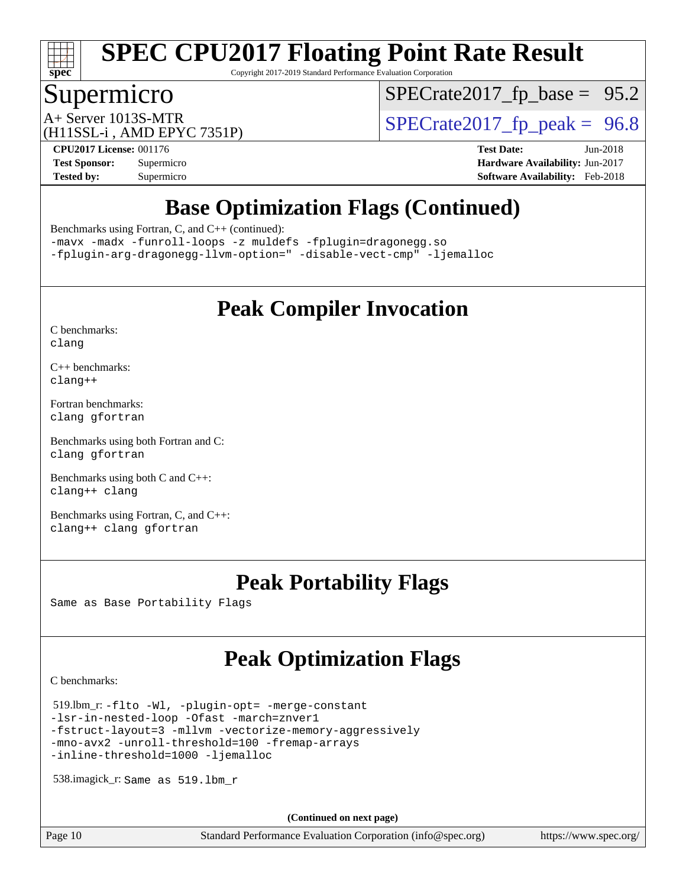

Copyright 2017-2019 Standard Performance Evaluation Corporation

### Supermicro

 $SPECTate2017_fp\_base = 95.2$ 

(H11SSL-i , AMD EPYC 7351P)

 $A+$  Server 1013S-MTR<br>  $\langle B+$  [SPECrate2017\\_fp\\_peak =](http://www.spec.org/auto/cpu2017/Docs/result-fields.html#SPECrate2017fppeak) 96.8

**[CPU2017 License:](http://www.spec.org/auto/cpu2017/Docs/result-fields.html#CPU2017License)** 001176 **[Test Date:](http://www.spec.org/auto/cpu2017/Docs/result-fields.html#TestDate)** Jun-2018 **[Test Sponsor:](http://www.spec.org/auto/cpu2017/Docs/result-fields.html#TestSponsor)** Supermicro **[Hardware Availability:](http://www.spec.org/auto/cpu2017/Docs/result-fields.html#HardwareAvailability)** Jun-2017 **[Tested by:](http://www.spec.org/auto/cpu2017/Docs/result-fields.html#Testedby)** Supermicro **[Software Availability:](http://www.spec.org/auto/cpu2017/Docs/result-fields.html#SoftwareAvailability)** Feb-2018

# **[Base Optimization Flags \(Continued\)](http://www.spec.org/auto/cpu2017/Docs/result-fields.html#BaseOptimizationFlags)**

[Benchmarks using Fortran, C, and C++](http://www.spec.org/auto/cpu2017/Docs/result-fields.html#BenchmarksusingFortranCandCXX) (continued):

[-mavx](http://www.spec.org/cpu2017/results/res2018q3/cpu2017-20180626-07375.flags.html#user_CC_CXX_FCbase_F-mavx) [-madx](http://www.spec.org/cpu2017/results/res2018q3/cpu2017-20180626-07375.flags.html#user_CC_CXX_FCbase_F-madx) [-funroll-loops](http://www.spec.org/cpu2017/results/res2018q3/cpu2017-20180626-07375.flags.html#user_CC_CXX_FCbase_F-funroll-loops) [-z muldefs](http://www.spec.org/cpu2017/results/res2018q3/cpu2017-20180626-07375.flags.html#user_CC_CXX_FCbase_zmuldefs) [-fplugin=dragonegg.so](http://www.spec.org/cpu2017/results/res2018q3/cpu2017-20180626-07375.flags.html#user_CC_CXX_FCbase_F-fpluginDragonEgg) [-fplugin-arg-dragonegg-llvm-option="](http://www.spec.org/cpu2017/results/res2018q3/cpu2017-20180626-07375.flags.html#user_CC_CXX_FCbase_F-fplugin-arg-dragonegg-llvm-option_98400a9ab866ed0085f1e7306b6fe3b9aac45e0c6ce6c4c776296af40a6f95ac09a5771072dd0b0cdcb566a3e79e79d2a726fc48d436745311228115dad9979d) [-disable-vect-cmp"](http://www.spec.org/cpu2017/results/res2018q3/cpu2017-20180626-07375.flags.html#user_CC_CXX_FCbase_F-dragonegg-llvm-disable-vect-cmp_6cf351a29613b68bfdbd040d3e22ab0ce250093fe1c4f1b0b3e19cc513bf9fe59893782c14402abfbebd018ed2d47d139a1a3c59a802b3eac454540228820b23) [-ljemalloc](http://www.spec.org/cpu2017/results/res2018q3/cpu2017-20180626-07375.flags.html#user_CC_CXX_FCbase_F-ljemalloc)

# **[Peak Compiler Invocation](http://www.spec.org/auto/cpu2017/Docs/result-fields.html#PeakCompilerInvocation)**

[C benchmarks](http://www.spec.org/auto/cpu2017/Docs/result-fields.html#Cbenchmarks): [clang](http://www.spec.org/cpu2017/results/res2018q3/cpu2017-20180626-07375.flags.html#user_CCpeak_Fclang3)

[C++ benchmarks:](http://www.spec.org/auto/cpu2017/Docs/result-fields.html#CXXbenchmarks) [clang++](http://www.spec.org/cpu2017/results/res2018q3/cpu2017-20180626-07375.flags.html#user_CXXpeak_Fclang3_57a48582e5be507d19b2527b3e7d4f85d9b8669ffc9a8a0dbb9bcf949a918a58bbab411e0c4d14a3922022a3e425a90db94042683824c1806feff4324ca1000d)

[Fortran benchmarks](http://www.spec.org/auto/cpu2017/Docs/result-fields.html#Fortranbenchmarks): [clang](http://www.spec.org/cpu2017/results/res2018q3/cpu2017-20180626-07375.flags.html#user_FCpeak_Fclang3) [gfortran](http://www.spec.org/cpu2017/results/res2018q3/cpu2017-20180626-07375.flags.html#user_FCpeak_gfortran)

[Benchmarks using both Fortran and C](http://www.spec.org/auto/cpu2017/Docs/result-fields.html#BenchmarksusingbothFortranandC): [clang](http://www.spec.org/cpu2017/results/res2018q3/cpu2017-20180626-07375.flags.html#user_CC_FCpeak_Fclang3) [gfortran](http://www.spec.org/cpu2017/results/res2018q3/cpu2017-20180626-07375.flags.html#user_CC_FCpeak_gfortran)

[Benchmarks using both C and C++](http://www.spec.org/auto/cpu2017/Docs/result-fields.html#BenchmarksusingbothCandCXX): [clang++](http://www.spec.org/cpu2017/results/res2018q3/cpu2017-20180626-07375.flags.html#user_CC_CXXpeak_Fclang3_57a48582e5be507d19b2527b3e7d4f85d9b8669ffc9a8a0dbb9bcf949a918a58bbab411e0c4d14a3922022a3e425a90db94042683824c1806feff4324ca1000d) [clang](http://www.spec.org/cpu2017/results/res2018q3/cpu2017-20180626-07375.flags.html#user_CC_CXXpeak_Fclang3)

[Benchmarks using Fortran, C, and C++:](http://www.spec.org/auto/cpu2017/Docs/result-fields.html#BenchmarksusingFortranCandCXX) [clang++](http://www.spec.org/cpu2017/results/res2018q3/cpu2017-20180626-07375.flags.html#user_CC_CXX_FCpeak_Fclang3_57a48582e5be507d19b2527b3e7d4f85d9b8669ffc9a8a0dbb9bcf949a918a58bbab411e0c4d14a3922022a3e425a90db94042683824c1806feff4324ca1000d) [clang](http://www.spec.org/cpu2017/results/res2018q3/cpu2017-20180626-07375.flags.html#user_CC_CXX_FCpeak_Fclang3) [gfortran](http://www.spec.org/cpu2017/results/res2018q3/cpu2017-20180626-07375.flags.html#user_CC_CXX_FCpeak_gfortran)

### **[Peak Portability Flags](http://www.spec.org/auto/cpu2017/Docs/result-fields.html#PeakPortabilityFlags)**

Same as Base Portability Flags

# **[Peak Optimization Flags](http://www.spec.org/auto/cpu2017/Docs/result-fields.html#PeakOptimizationFlags)**

[C benchmarks](http://www.spec.org/auto/cpu2017/Docs/result-fields.html#Cbenchmarks):

```
 519.lbm_r: -flto -Wl, -plugin-opt= -merge-constant
-lsr-in-nested-loop -Ofast -march=znver1
-fstruct-layout=3 -mllvm -vectorize-memory-aggressively
-mno-avx2 -unroll-threshold=100 -fremap-arrays
-inline-threshold=1000 -ljemalloc
```
538.imagick\_r: Same as 519.lbm\_r

**(Continued on next page)**

Page 10 Standard Performance Evaluation Corporation [\(info@spec.org\)](mailto:info@spec.org) <https://www.spec.org/>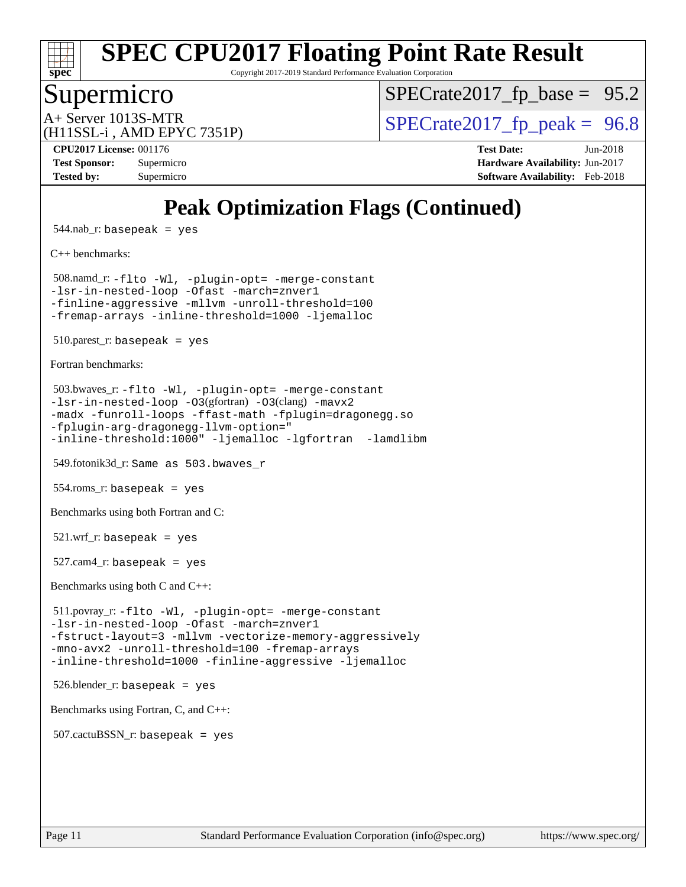

Copyright 2017-2019 Standard Performance Evaluation Corporation

### Supermicro

 $SPECTate2017_fp\_base = 95.2$ 

(H11SSL-i , AMD EPYC 7351P)

 $A+$  Server 1013S-MTR<br>  $(H11\text{SSI} -i \quad \text{AMD FPYC 7351P})$   $\qquad \qquad$   $\qquad$  [SPECrate2017\\_fp\\_peak =](http://www.spec.org/auto/cpu2017/Docs/result-fields.html#SPECrate2017fppeak) 96.8

**[Tested by:](http://www.spec.org/auto/cpu2017/Docs/result-fields.html#Testedby)** Supermicro **[Software Availability:](http://www.spec.org/auto/cpu2017/Docs/result-fields.html#SoftwareAvailability)** Feb-2018

**[CPU2017 License:](http://www.spec.org/auto/cpu2017/Docs/result-fields.html#CPU2017License)** 001176 **[Test Date:](http://www.spec.org/auto/cpu2017/Docs/result-fields.html#TestDate)** Jun-2018 **[Test Sponsor:](http://www.spec.org/auto/cpu2017/Docs/result-fields.html#TestSponsor)** Supermicro **[Hardware Availability:](http://www.spec.org/auto/cpu2017/Docs/result-fields.html#HardwareAvailability)** Jun-2017

# **[Peak Optimization Flags \(Continued\)](http://www.spec.org/auto/cpu2017/Docs/result-fields.html#PeakOptimizationFlags)**

 $544$ .nab\_r: basepeak = yes

[C++ benchmarks:](http://www.spec.org/auto/cpu2017/Docs/result-fields.html#CXXbenchmarks)

```
 508.namd_r: -flto -Wl, -plugin-opt= -merge-constant
-lsr-in-nested-loop -Ofast -march=znver1
-finline-aggressive -mllvm -unroll-threshold=100
-fremap-arrays -inline-threshold=1000 -ljemalloc
```
 $510.parest_r:$  basepeak = yes

[Fortran benchmarks](http://www.spec.org/auto/cpu2017/Docs/result-fields.html#Fortranbenchmarks):

```
 503.bwaves_r: -flto -Wl, -plugin-opt= -merge-constant
-lsr-in-nested-loop -O3(gfortran) -O3(clang) -mavx2
-madx -funroll-loops -ffast-math -fplugin=dragonegg.so
-fplugin-arg-dragonegg-llvm-option="
-inline-threshold:1000" -ljemalloc -lgfortran -lamdlibm
```
549.fotonik3d\_r: Same as 503.bwaves\_r

554.roms\_r: basepeak = yes

[Benchmarks using both Fortran and C](http://www.spec.org/auto/cpu2017/Docs/result-fields.html#BenchmarksusingbothFortranandC):

521.wrf\_r: basepeak = yes

527.cam4\_r: basepeak = yes

[Benchmarks using both C and C++](http://www.spec.org/auto/cpu2017/Docs/result-fields.html#BenchmarksusingbothCandCXX):

 511.povray\_r: [-flto](http://www.spec.org/cpu2017/results/res2018q3/cpu2017-20180626-07375.flags.html#user_peakCOPTIMIZECXXOPTIMIZEEXTRA_LDFLAGS511_povray_r_F-flto) [-Wl,](http://www.spec.org/cpu2017/results/res2018q3/cpu2017-20180626-07375.flags.html#user_peakEXTRA_LDFLAGS511_povray_r_F-Wl_5f669859b7c1a0295edc4f5fd536c381023f180a987810cb5cfa1d9467a27ac14b13770b9732d7618b24fc778f3dfdf68b65521d505fc870281e0142944925a0) [-plugin-opt=](http://www.spec.org/cpu2017/results/res2018q3/cpu2017-20180626-07375.flags.html#user_peakEXTRA_LDFLAGS511_povray_r_F-plugin-opt_772899571bb6157e4b8feeb3276e6c06dec41c1bbb0aa637c8700742a4baaf7e7b56061e32ae2365a76a44d8c448177ca3ee066cdf7537598ff772fc461942c2) [-merge-constant](http://www.spec.org/cpu2017/results/res2018q3/cpu2017-20180626-07375.flags.html#user_peakEXTRA_LDFLAGS511_povray_r_F-merge-constant_bdb3ec75d21d5cf0ab1961ebe7105d0ea3b0c6d89a312cf7efc1d107e6c56c92c36b5d564d0702d1e2526f6b92f188b4413eb5a54b1f9e4a41f5a9bfc0233b92) [-lsr-in-nested-loop](http://www.spec.org/cpu2017/results/res2018q3/cpu2017-20180626-07375.flags.html#user_peakEXTRA_LDFLAGS511_povray_r_F-lsr-in-nested-loop) [-Ofast](http://www.spec.org/cpu2017/results/res2018q3/cpu2017-20180626-07375.flags.html#user_peakCOPTIMIZECXXOPTIMIZE511_povray_r_F-Ofast) [-march=znver1](http://www.spec.org/cpu2017/results/res2018q3/cpu2017-20180626-07375.flags.html#user_peakCOPTIMIZECXXOPTIMIZE511_povray_r_march_082ab2c5e8f99f69c47c63adfdc26f9617958cc68d0b5dbfb7aa6935cde4c91d5d9c2fdc24e6781fa8a0299196f2f4ca8e995f825d797de797910507b4251bb3) [-fstruct-layout=3](http://www.spec.org/cpu2017/results/res2018q3/cpu2017-20180626-07375.flags.html#user_peakCOPTIMIZE511_povray_r_F-fstruct-layout) [-mllvm](http://www.spec.org/cpu2017/results/res2018q3/cpu2017-20180626-07375.flags.html#user_peakCOPTIMIZECXXOPTIMIZE511_povray_r_F-mllvm_76e3f86ef8d8cc4dfa84cec42d531db351fee284f72cd5d644b5bdbef9c2604296512be6a431d9e19d0523544399ea9dd745afc2fff755a0705d428460dc659e) [-vectorize-memory-aggressively](http://www.spec.org/cpu2017/results/res2018q3/cpu2017-20180626-07375.flags.html#user_peakCOPTIMIZE511_povray_r_F-vectorize-memory-aggressively) [-mno-avx2](http://www.spec.org/cpu2017/results/res2018q3/cpu2017-20180626-07375.flags.html#user_peakCOPTIMIZE511_povray_r_F-mno-avx2) [-unroll-threshold=100](http://www.spec.org/cpu2017/results/res2018q3/cpu2017-20180626-07375.flags.html#user_peakCOPTIMIZECXXOPTIMIZE511_povray_r_F-unroll-threshold) [-fremap-arrays](http://www.spec.org/cpu2017/results/res2018q3/cpu2017-20180626-07375.flags.html#user_peakCOPTIMIZECXXOPTIMIZE511_povray_r_F-fremap-arrays) [-inline-threshold=1000](http://www.spec.org/cpu2017/results/res2018q3/cpu2017-20180626-07375.flags.html#user_peakCOPTIMIZECXXOPTIMIZE511_povray_r_F-inline-threshold_1daf3e0321a7a0c1ea19068c818f3f119b1e5dfc986cc791557791f4b93536c1546ba0c8585f62303269f504aa232e0ca278e8489928152e32e0752215741730) [-finline-aggressive](http://www.spec.org/cpu2017/results/res2018q3/cpu2017-20180626-07375.flags.html#user_peakCXXOPTIMIZE511_povray_r_F-finline-aggressive) [-ljemalloc](http://www.spec.org/cpu2017/results/res2018q3/cpu2017-20180626-07375.flags.html#user_peakEXTRA_LIBS511_povray_r_F-ljemalloc)

526.blender\_r: basepeak = yes

[Benchmarks using Fortran, C, and C++:](http://www.spec.org/auto/cpu2017/Docs/result-fields.html#BenchmarksusingFortranCandCXX)

 $507$ .cactu $BSSN$  r: basepeak = yes